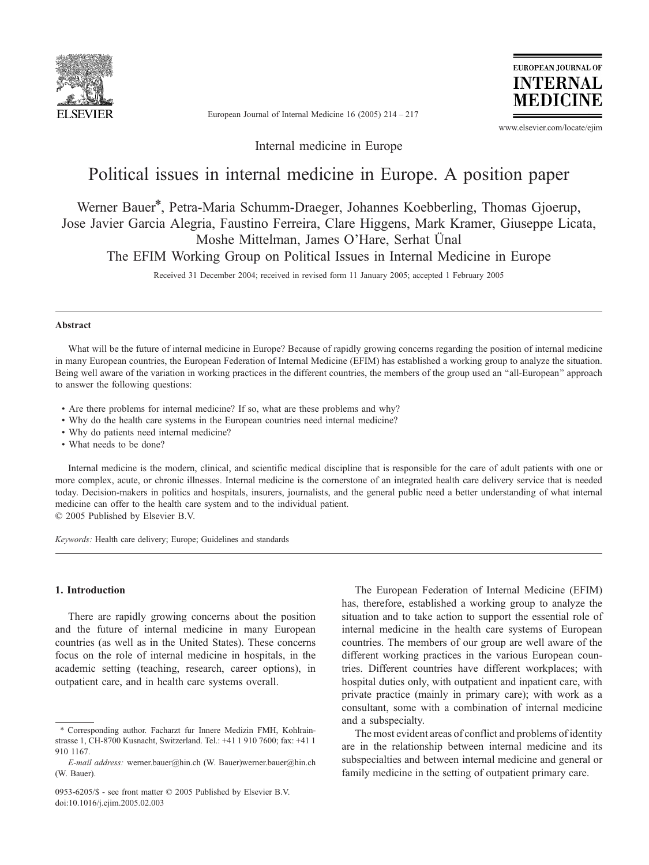

European Journal of Internal Medicine 16 (2005) 214 – 217

EUROPEAN JOURNAL OF **INTERNAL MEDICINE** 

www.elsevier.com/locate/ejim

Internal medicine in Europe

# Political issues in internal medicine in Europe. A position paper

Werner Bauer\*, Petra-Maria Schumm-Draeger, Johannes Koebberling, Thomas Gjoerup, Jose Javier Garcia Alegria, Faustino Ferreira, Clare Higgens, Mark Kramer, Giuseppe Licata, Moshe Mittelman, James O'Hare, Serhat Ünal The EFIM Working Group on Political Issues in Internal Medicine in Europe

Received 31 December 2004; received in revised form 11 January 2005; accepted 1 February 2005

#### Abstract

What will be the future of internal medicine in Europe? Because of rapidly growing concerns regarding the position of internal medicine in many European countries, the European Federation of Internal Medicine (EFIM) has established a working group to analyze the situation. Being well aware of the variation in working practices in the different countries, the members of the group used an "all-European" approach to answer the following questions:

- & Are there problems for internal medicine? If so, what are these problems and why?
- & Why do the health care systems in the European countries need internal medicine?
- & Why do patients need internal medicine?
- What needs to be done?

Internal medicine is the modern, clinical, and scientific medical discipline that is responsible for the care of adult patients with one or more complex, acute, or chronic illnesses. Internal medicine is the cornerstone of an integrated health care delivery service that is needed today. Decision-makers in politics and hospitals, insurers, journalists, and the general public need a better understanding of what internal medicine can offer to the health care system and to the individual patient.  $©$  2005 Published by Elsevier B.V.

Keywords: Health care delivery; Europe; Guidelines and standards

## 1. Introduction

There are rapidly growing concerns about the position and the future of internal medicine in many European countries (as well as in the United States). These concerns focus on the role of internal medicine in hospitals, in the academic setting (teaching, research, career options), in outpatient care, and in health care systems overall.

The European Federation of Internal Medicine (EFIM) has, therefore, established a working group to analyze the situation and to take action to support the essential role of internal medicine in the health care systems of European countries. The members of our group are well aware of the different working practices in the various European countries. Different countries have different workplaces; with hospital duties only, with outpatient and inpatient care, with private practice (mainly in primary care); with work as a consultant, some with a combination of internal medicine and a subspecialty.

The most evident areas of conflict and problems of identity are in the relationship between internal medicine and its subspecialties and between internal medicine and general or family medicine in the setting of outpatient primary care.

<sup>\*</sup> Corresponding author. Facharzt fur Innere Medizin FMH, Kohlrainstrasse 1, CH-8700 Kusnacht, Switzerland. Tel.: +41 1 910 7600; fax: +41 1 910 1167.

E-mail address: werner.bauer@hin.ch (W. Bauer)werner.bauer@hin.ch (W. Bauer).

<sup>0953-6205/\$ -</sup> see front matter © 2005 Published by Elsevier B.V. doi:10.1016/j.ejim.2005.02.003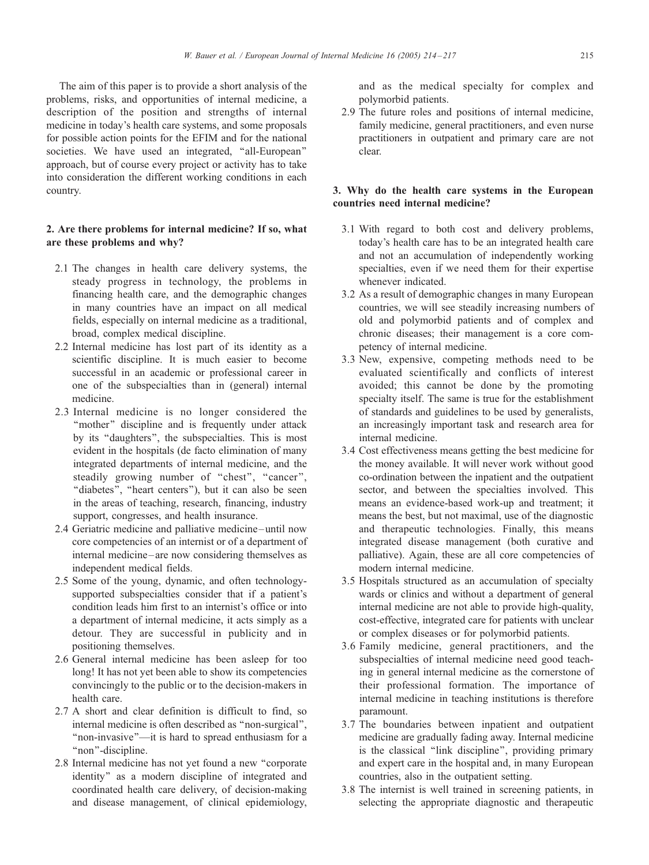The aim of this paper is to provide a short analysis of the problems, risks, and opportunities of internal medicine, a description of the position and strengths of internal medicine in today's health care systems, and some proposals for possible action points for the EFIM and for the national societies. We have used an integrated, "all-European" approach, but of course every project or activity has to take into consideration the different working conditions in each country.

## 2. Are there problems for internal medicine? If so, what are these problems and why?

- 2.1 The changes in health care delivery systems, the steady progress in technology, the problems in financing health care, and the demographic changes in many countries have an impact on all medical fields, especially on internal medicine as a traditional, broad, complex medical discipline.
- 2.2 Internal medicine has lost part of its identity as a scientific discipline. It is much easier to become successful in an academic or professional career in one of the subspecialties than in (general) internal medicine.
- 2.3 Internal medicine is no longer considered the "mother" discipline and is frequently under attack by its ''daughters'', the subspecialties. This is most evident in the hospitals (de facto elimination of many integrated departments of internal medicine, and the steadily growing number of "chest", "cancer", "diabetes", "heart centers"), but it can also be seen in the areas of teaching, research, financing, industry support, congresses, and health insurance.
- 2.4 Geriatric medicine and palliative medicine until now core competencies of an internist or of a department of internal medicine –are now considering themselves as independent medical fields.
- 2.5 Some of the young, dynamic, and often technologysupported subspecialties consider that if a patient's condition leads him first to an internist's office or into a department of internal medicine, it acts simply as a detour. They are successful in publicity and in positioning themselves.
- 2.6 General internal medicine has been asleep for too long! It has not yet been able to show its competencies convincingly to the public or to the decision-makers in health care.
- 2.7 A short and clear definition is difficult to find, so internal medicine is often described as ''non-surgical'', ''non-invasive''—it is hard to spread enthusiasm for a ''non''-discipline.
- 2.8 Internal medicine has not yet found a new ''corporate identity'' as a modern discipline of integrated and coordinated health care delivery, of decision-making and disease management, of clinical epidemiology,

and as the medical specialty for complex and polymorbid patients.

2.9 The future roles and positions of internal medicine, family medicine, general practitioners, and even nurse practitioners in outpatient and primary care are not clear.

## 3. Why do the health care systems in the European countries need internal medicine?

- 3.1 With regard to both cost and delivery problems, today's health care has to be an integrated health care and not an accumulation of independently working specialties, even if we need them for their expertise whenever indicated.
- 3.2 As a result of demographic changes in many European countries, we will see steadily increasing numbers of old and polymorbid patients and of complex and chronic diseases; their management is a core competency of internal medicine.
- 3.3 New, expensive, competing methods need to be evaluated scientifically and conflicts of interest avoided; this cannot be done by the promoting specialty itself. The same is true for the establishment of standards and guidelines to be used by generalists, an increasingly important task and research area for internal medicine.
- 3.4 Cost effectiveness means getting the best medicine for the money available. It will never work without good co-ordination between the inpatient and the outpatient sector, and between the specialties involved. This means an evidence-based work-up and treatment; it means the best, but not maximal, use of the diagnostic and therapeutic technologies. Finally, this means integrated disease management (both curative and palliative). Again, these are all core competencies of modern internal medicine.
- 3.5 Hospitals structured as an accumulation of specialty wards or clinics and without a department of general internal medicine are not able to provide high-quality, cost-effective, integrated care for patients with unclear or complex diseases or for polymorbid patients.
- 3.6 Family medicine, general practitioners, and the subspecialties of internal medicine need good teaching in general internal medicine as the cornerstone of their professional formation. The importance of internal medicine in teaching institutions is therefore paramount.
- 3.7 The boundaries between inpatient and outpatient medicine are gradually fading away. Internal medicine is the classical "link discipline", providing primary and expert care in the hospital and, in many European countries, also in the outpatient setting.
- 3.8 The internist is well trained in screening patients, in selecting the appropriate diagnostic and therapeutic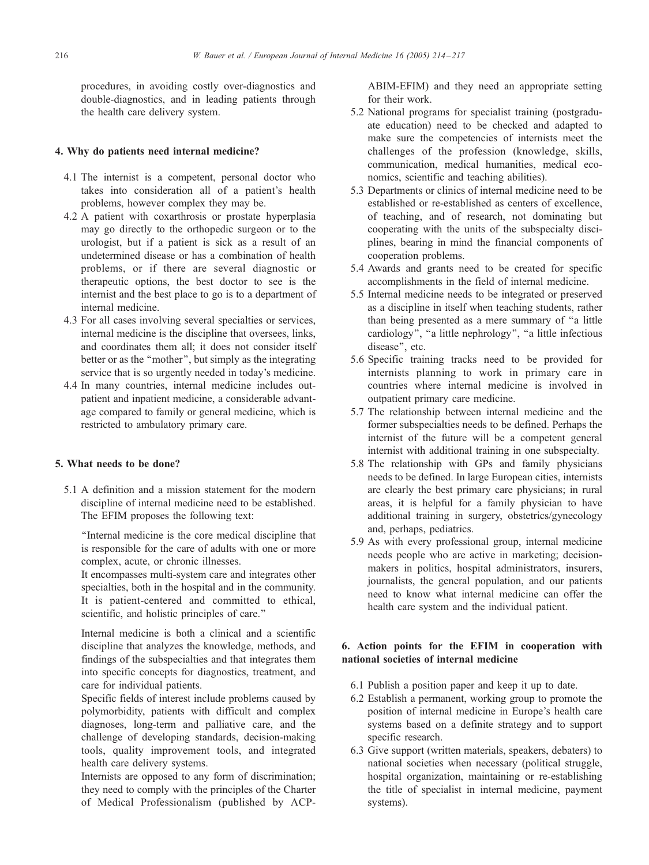procedures, in avoiding costly over-diagnostics and double-diagnostics, and in leading patients through the health care delivery system.

## 4. Why do patients need internal medicine?

- 4.1 The internist is a competent, personal doctor who takes into consideration all of a patient's health problems, however complex they may be.
- 4.2 A patient with coxarthrosis or prostate hyperplasia may go directly to the orthopedic surgeon or to the urologist, but if a patient is sick as a result of an undetermined disease or has a combination of health problems, or if there are several diagnostic or therapeutic options, the best doctor to see is the internist and the best place to go is to a department of internal medicine.
- 4.3 For all cases involving several specialties or services, internal medicine is the discipline that oversees, links, and coordinates them all; it does not consider itself better or as the "mother", but simply as the integrating service that is so urgently needed in today's medicine.
- 4.4 In many countries, internal medicine includes outpatient and inpatient medicine, a considerable advantage compared to family or general medicine, which is restricted to ambulatory primary care.

### 5. What needs to be done?

5.1 A definition and a mission statement for the modern discipline of internal medicine need to be established. The EFIM proposes the following text:

''Internal medicine is the core medical discipline that is responsible for the care of adults with one or more complex, acute, or chronic illnesses.

It encompasses multi-system care and integrates other specialties, both in the hospital and in the community. It is patient-centered and committed to ethical, scientific, and holistic principles of care.''

Internal medicine is both a clinical and a scientific discipline that analyzes the knowledge, methods, and findings of the subspecialties and that integrates them into specific concepts for diagnostics, treatment, and care for individual patients.

Specific fields of interest include problems caused by polymorbidity, patients with difficult and complex diagnoses, long-term and palliative care, and the challenge of developing standards, decision-making tools, quality improvement tools, and integrated health care delivery systems.

Internists are opposed to any form of discrimination; they need to comply with the principles of the Charter of Medical Professionalism (published by ACP- ABIM-EFIM) and they need an appropriate setting for their work.

- 5.2 National programs for specialist training (postgraduate education) need to be checked and adapted to make sure the competencies of internists meet the challenges of the profession (knowledge, skills, communication, medical humanities, medical economics, scientific and teaching abilities).
- 5.3 Departments or clinics of internal medicine need to be established or re-established as centers of excellence, of teaching, and of research, not dominating but cooperating with the units of the subspecialty disciplines, bearing in mind the financial components of cooperation problems.
- 5.4 Awards and grants need to be created for specific accomplishments in the field of internal medicine.
- 5.5 Internal medicine needs to be integrated or preserved as a discipline in itself when teaching students, rather than being presented as a mere summary of ''a little cardiology'', ''a little nephrology'', ''a little infectious disease'', etc.
- 5.6 Specific training tracks need to be provided for internists planning to work in primary care in countries where internal medicine is involved in outpatient primary care medicine.
- 5.7 The relationship between internal medicine and the former subspecialties needs to be defined. Perhaps the internist of the future will be a competent general internist with additional training in one subspecialty.
- 5.8 The relationship with GPs and family physicians needs to be defined. In large European cities, internists are clearly the best primary care physicians; in rural areas, it is helpful for a family physician to have additional training in surgery, obstetrics/gynecology and, perhaps, pediatrics.
- 5.9 As with every professional group, internal medicine needs people who are active in marketing; decisionmakers in politics, hospital administrators, insurers, journalists, the general population, and our patients need to know what internal medicine can offer the health care system and the individual patient.

## 6. Action points for the EFIM in cooperation with national societies of internal medicine

- 6.1 Publish a position paper and keep it up to date.
- 6.2 Establish a permanent, working group to promote the position of internal medicine in Europe's health care systems based on a definite strategy and to support specific research.
- 6.3 Give support (written materials, speakers, debaters) to national societies when necessary (political struggle, hospital organization, maintaining or re-establishing the title of specialist in internal medicine, payment systems).